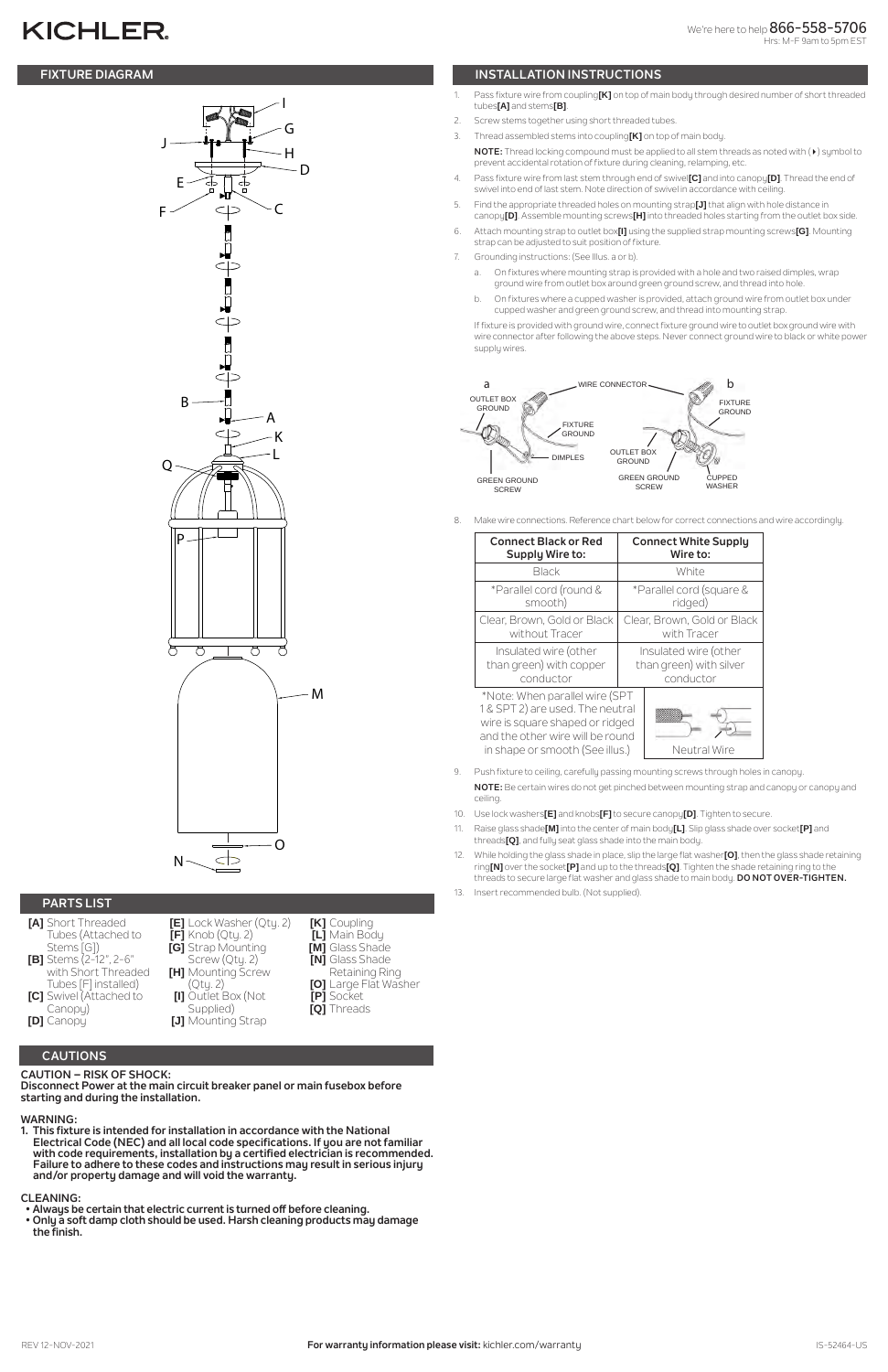# **KICHLER**

## **CAUTIONS**

**CAUTION – RISK OF SHOCK: Disconnect Power at the main circuit breaker panel or main fusebox before starting and during the installation.** 

#### **WARNING:**

**1. This fixture is intended for installation in accordance with the National Electrical Code (NEC) and all local code specifications. If you are not familiar with code requirements, installation by a certified electrician is recommended. Failure to adhere to these codes and instructions may result in serious injury and/or property damage and will void the warranty.**

#### **CLEANING:**

- **Always be certain that electric current is turned off before cleaning.**
- **Only a soft damp cloth should be used. Harsh cleaning products may damage the finish.**

# **PARTS LIST**



- **[A]** Short Threaded Tubes (Attached to Stems [G]) **[B]** Stems (2-12", 2-6" with Short Threaded Tubes [F] installed) **[C]** Swivel (Attached to
- **[E]** Lock Washer (Qty. 2) **[F]** Knob (Qty. 2) **[G]** Strap Mounting Screw (Qty. 2) **[H]** Mounting Screw (Qty. 2) **[I]** Outlet Box (Not
- **[K]** Coupling **[L]** Main Body **[M]** Glass Shade **[N]** Glass Shade Retaining Ring **[O]** Large Flat Washer



**[P]** Socket

**[Q]** Threads

wire is square shaped or ridged and the other wire will be round in shape or smooth (See illus.)  $\vert$  Neutral Wire



- **FIXTURE DIAGRAM INSTALLATION INSTRUCTIONS**
	- 1. Pass fixture wire from coupling**[K]** on top of main body through desired number of short threaded tubes**[A]** and stems**[B]**.
	- 2. Screw stems together using short threaded tubes.
	- 3. Thread assembled stems into coupling**[K]** on top of main body.
	- **NOTE:** Thread locking compound must be applied to all stem threads as noted with (4) symbol to prevent accidental rotation of fixture during cleaning, relamping, etc.
	- 4. Pass fixture wire from last stem through end of swivel**[C]** and into canopy**[D]**. Thread the end of swivel into end of last stem. Note direction of swivel in accordance with ceiling.
	- 5. Find the appropriate threaded holes on mounting strap**[J]** that align with hole distance in canopy**[D]**. Assemble mounting screws**[H]** into threaded holes starting from the outlet box side.
	- 6. Attach mounting strap to outlet box**[I]** using the supplied strap mounting screws**[G]**. Mounting strap can be adjusted to suit position of fixture.
	- 7. Grounding instructions: (See Illus. a or b).
		- a. On fixtures where mounting strap is provided with a hole and two raised dimples, wrap ground wire from outlet box around green ground screw, and thread into hole.
		- b. On fixtures where a cupped washer is provided, attach ground wire from outlet box under cupped washer and green ground screw, and thread into mounting strap.

If fixture is provided with ground wire, connect fixture ground wire to outlet box ground wire with wire connector after following the above steps. Never connect ground wire to black or white power supply wires.

8. Make wire connections. Reference chart below for correct connections and wire accordingly.

| <b>Connect Black or Red</b>                                                                           | <b>Connect White Supply</b> |
|-------------------------------------------------------------------------------------------------------|-----------------------------|
| Supply Wire to:                                                                                       | Wire to:                    |
| <b>Black</b>                                                                                          | White                       |
| *Parallel cord (round &                                                                               | *Parallel cord (square &    |
| smooth)                                                                                               | ridged)                     |
| Clear, Brown, Gold or Black                                                                           | Clear, Brown, Gold or Black |
| without Tracer                                                                                        | with Tracer                 |
| Insulated wire (other                                                                                 | Insulated wire (other       |
| than green) with copper                                                                               | than green) with silver     |
| conductor                                                                                             | conductor                   |
| *Note: When parallel wire (SPT<br>1 & SPT 2) are used. The neutral<br>wirg is sauera shenad or ridged |                             |

- 9. Push fixture to ceiling, carefully passing mounting screws through holes in canopy. **NOTE:** Be certain wires do not get pinched between mounting strap and canopy or canopy and ceiling.
- 10. Use lock washers**[E]** and knobs**[F]** to secure canopy**[D]**. Tighten to secure.
- 11. Raise glass shade**[M]** into the center of main body**[L]**. Slip glass shade over socket**[P]** and threads**[Q]**, and fully seat glass shade into the main body.
- 12. While holding the glass shade in place, slip the large flat washer**[O]**, then the glass shade retaining ring**[N]** over the socket**[P]** and up to the threads**[Q]**. Tighten the shade retaining ring to the threads to secure large flat washer and glass shade to main body. **DO NOT OVER-TIGHTEN.**
- 13. Insert recommended bulb. (Not supplied).



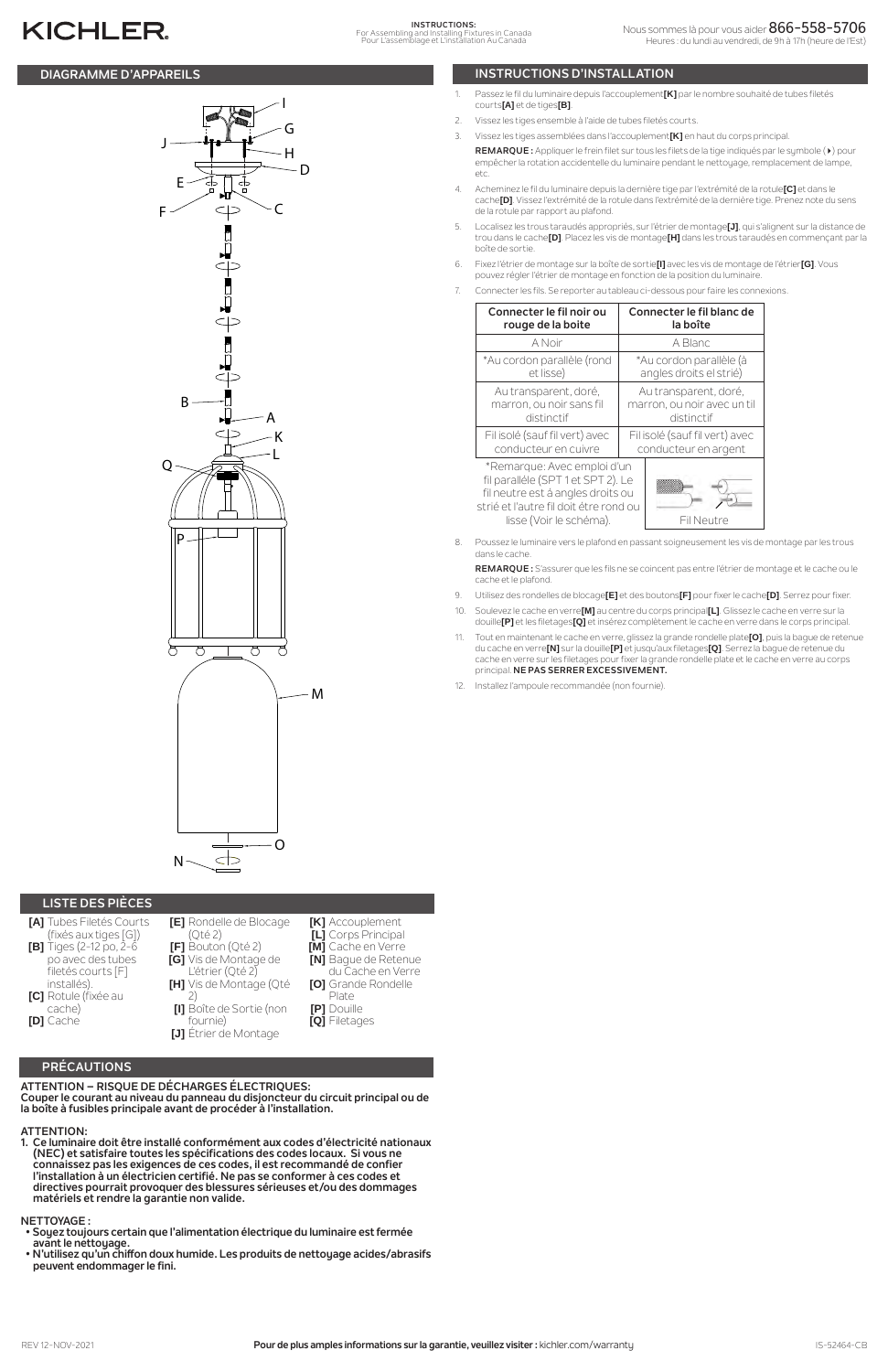# **PRÉCAUTIONS**

#### **ATTENTION – RISQUE DE DÉCHARGES ÉLECTRIQUES: Couper le courant au niveau du panneau du disjoncteur du circuit principal ou de la boîte à fusibles principale avant de procéder à l'installation.**

### **ATTENTION:**

**1. Ce luminaire doit être installé conformément aux codes d'électricité nationaux (NEC) et satisfaire toutes les spécifications des codes locaux. Si vous ne connaissez pas les exigences de ces codes, il est recommandé de confier l'installation à un électricien certifié. Ne pas se conformer à ces codes et directives pourrait provoquer des blessures sérieuses et/ou des dommages matériels et rendre la garantie non valide.**

#### **NETTOYAGE :**

- **Soyez toujours certain que l'alimentation électrique du luminaire est fermée avant le nettoyage.**
- **N'utilisez qu'un chiffon doux humide. Les produits de nettoyage acides/abrasifs peuvent endommager le fini.**

# **DIAGRAMME D'APPAREILS INSTRUCTIONS D'INSTALLATION**

# **KICHLER**

# **LISTE DES PIÈCES**

- **[A]** Tubes Filetés Courts (fixés aux tiges [G]) **[B]** Tiges (2-12 po, 2-6 po avec des tubes filetés courts [F] installés). **[C]** Rotule (fixée au
- **[E]** Rondelle de Blocage (Qté 2) **[F]** Bouton (Qté 2) **[G]** Vis de Montage de L'étrier (Qté 2) **[H]** Vis de Montage (Qté 2)





**[K]** Accouplement **[L]** Corps Principal **[M]** Cache en Verre

- **[N]** Bague de Retenue
- du Cache en Verre **[O]** Grande Rondelle
	- Plate

**[P]** Douille **[Q]** Filetages

- 9. Utilisez des rondelles de blocage**[E]** et des boutons**[F]** pour fixer le cache**[D]**. Serrez pour fixer.
- 10. Soulevez le cache en verre**[M]** au centre du corps principal**[L]**. Glissez le cache en verre sur la douille**[P]** et les filetages**[Q]** et insérez complètement le cache en verre dans le corps principal.
- 11. Tout en maintenant le cache en verre, glissez la grande rondelle plate**[O]**, puis la bague de retenue du cache en verre**[N]** sur la douille**[P]** et jusqu'aux filetages**[Q]**. Serrez la bague de retenue du cache en verre sur les filetages pour fixer la grande rondelle plate et le cache en verre au corps principal. **NE PAS SERRER EXCESSIVEMENT.**
- 12. Installez l'ampoule recommandée (non fournie)
- 1. Passez le fil du luminaire depuis l'accouplement**[K]** par le nombre souhaité de tubes filetés courts**[A]** et de tiges**[B]**.
- 2. Vissez les tiges ensemble à l'aide de tubes filetés courts.
- 3. Vissez les tiges assemblées dans l'accouplement**[K]** en haut du corps principal.

**REMARQUE :** Appliquer le frein filet sur tous les filets de la tige indiqués par le symbole (4) pour empêcher la rotation accidentelle du luminaire pendant le nettoyage, remplacement de lampe, etc.

- 4. Acheminez le fil du luminaire depuis la dernière tige par l'extrémité de la rotule**[C]** et dans le cache**[D]**. Vissez l'extrémité de la rotule dans l'extrémité de la dernière tige. Prenez note du sens de la rotule par rapport au plafond.
- 5. Localisez les trous taraudés appropriés, sur l'étrier de montage**[J]**, qui s'alignent sur la distance de trou dans le cache**[D]**. Placez les vis de montage**[H]** dans les trous taraudés en commençant par la boîte de sortie.
- 6. Fixez l'étrier de montage sur la boîte de sortie**[I]** avec les vis de montage de l'étrier**[G]**. Vous pouvez régler l'étrier de montage en fonction de la position du luminaire.
- 7. Connecter les fils. Se reporter au tableau ci-dessous pour faire les connexions.

| Connecter le fil noir ou                                                                                                                                                    | Connecter le fil blanc de      |
|-----------------------------------------------------------------------------------------------------------------------------------------------------------------------------|--------------------------------|
| rouge de la boite                                                                                                                                                           | la boîte                       |
| A Noir                                                                                                                                                                      | A Blanc                        |
| *Au cordon parallèle (rond                                                                                                                                                  | *Au cordon parallèle (à        |
| et lisse)                                                                                                                                                                   | angles droits el strié)        |
| Au transparent, doré,                                                                                                                                                       | Au transparent, doré,          |
| marron, ou noir sans fil                                                                                                                                                    | marron, ou noir avec un til    |
| distinctif                                                                                                                                                                  | distinctif                     |
| Fil isolé (sauf fil vert) avec                                                                                                                                              | Fil isolé (sauf fil vert) avec |
| conducteur en cuivre                                                                                                                                                        | conducteur en argent           |
| *Remarque: Avec emploi d'un<br>fil paralléle (SPT 1 et SPT 2). Le<br>fil neutre est á angles droits ou<br>strié et l'autre fil doit étre rond ou<br>lisse (Voir le schéma). | Fil Neutre                     |

8. Poussez le luminaire vers le plafond en passant soigneusement les vis de montage par les trous dans le cache.

**REMARQUE :** S'assurer que les fils ne se coincent pas entre l'étrier de montage et le cache ou le cache et le plafond.